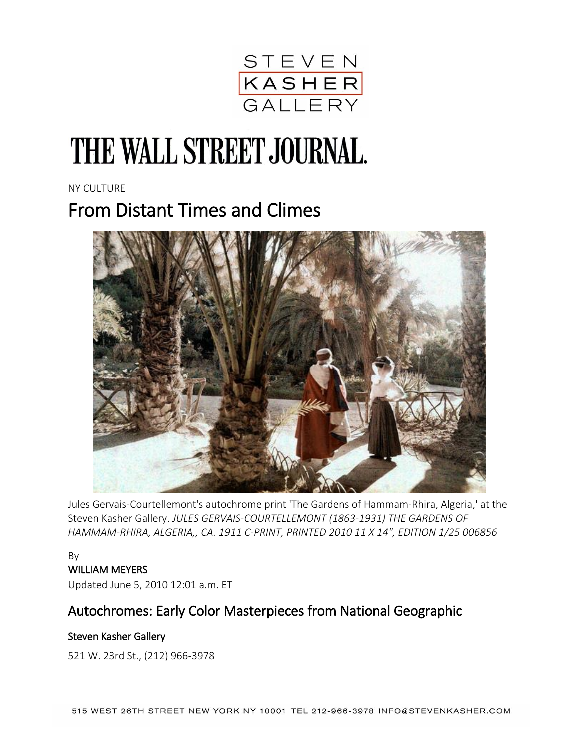

# THE WALL STREET JOURNAL.

NY [CULTURE](http://www.wsj.com/news/types/ny-culture)

## From Distant Times and Climes



Jules Gervais-Courtellemont's autochrome print 'The Gardens of Hammam-Rhira, Algeria,' at the Steven Kasher Gallery. *JULES GERVAIS-COURTELLEMONT (1863-1931) THE GARDENS OF HAMMAM-RHIRA, ALGERIA,, CA. 1911 C-PRINT, PRINTED 2010 11 X 14", EDITION 1/25 006856*

#### By WILLIAM MEYERS

Updated June 5, 2010 12:01 a.m. ET

### Autochromes: Early Color Masterpieces from National Geographic

#### Steven Kasher Gallery

521 W. 23rd St., (212) 966-3978